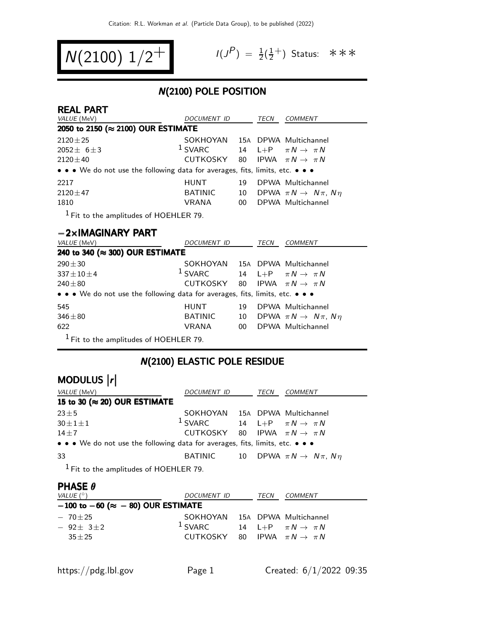$$
N(2100) 1/2^+
$$

$$
I(J^P) = \frac{1}{2}(\frac{1}{2}^+)
$$
 Status:  $**$ 

### N(2100) POLE POSITION

| <b>REAL PART</b>                                                              |                                |    |      |                                           |  |  |
|-------------------------------------------------------------------------------|--------------------------------|----|------|-------------------------------------------|--|--|
| <i>VALUE</i> (MeV)                                                            | DOCUMENT ID                    |    | TECN | <b>COMMENT</b>                            |  |  |
| 2050 to 2150 (≈ 2100) OUR ESTIMATE                                            |                                |    |      |                                           |  |  |
| $2120 \pm 25$                                                                 | SOKHOYAN 15A DPWA Multichannel |    |      |                                           |  |  |
| $2052 + 6 + 3$                                                                | $1$ SVARC                      |    |      | 14 L+P $\pi N \rightarrow \pi N$          |  |  |
| $2120 + 40$                                                                   | CUTKOSKY                       | 80 |      | IPWA $\pi N \rightarrow \pi N$            |  |  |
| • • • We do not use the following data for averages, fits, limits, etc. • • • |                                |    |      |                                           |  |  |
| 2217                                                                          | <b>HUNT</b>                    | 19 |      | DPWA Multichannel                         |  |  |
| $2120 + 47$                                                                   | <b>BATINIC</b>                 | 10 |      | DPWA $\pi N \rightarrow N \pi$ , $N \eta$ |  |  |
| 1810                                                                          | <b>VRANA</b>                   | 00 |      | DPWA Multichannel                         |  |  |
| $1$ Fit to the amplitudes of HOEHLER 79.                                      |                                |    |      |                                           |  |  |

### −2×IMAGINARY PART

| VALUE (MeV)                                                                   | <i>DOCUMENT ID</i>             |    | TECN | <b>COMMENT</b>                            |  |  |
|-------------------------------------------------------------------------------|--------------------------------|----|------|-------------------------------------------|--|--|
| 240 to 340 (≈ 300) OUR ESTIMATE                                               |                                |    |      |                                           |  |  |
| $290 \pm 30$                                                                  | SOKHOYAN 15A DPWA Multichannel |    |      |                                           |  |  |
| $337 \pm 10 \pm 4$                                                            | $1$ SVARC                      |    |      | 14 L+P $\pi N \rightarrow \pi N$          |  |  |
| $240 + 80$                                                                    | CUTKOSKY                       |    |      | 80 IPWA $\pi N \rightarrow \pi N$         |  |  |
| • • • We do not use the following data for averages, fits, limits, etc. • • • |                                |    |      |                                           |  |  |
| 545                                                                           | <b>HUNT</b>                    | 19 |      | DPWA Multichannel                         |  |  |
| $346 + 80$                                                                    | <b>BATINIC</b>                 | 10 |      | DPWA $\pi N \rightarrow N \pi$ , $N \eta$ |  |  |
| 622                                                                           | <b>VRANA</b>                   | 00 |      | DPWA Multichannel                         |  |  |
| $1$ Fit to the amplitudes of HOEHLER 79.                                      |                                |    |      |                                           |  |  |

# N(2100) ELASTIC POLE RESIDUE

# MODULUS  $\vert r \vert$

| VALUE (MeV)                                                                   | DOCUMENT ID                                | TECN | COMMENT                                              |
|-------------------------------------------------------------------------------|--------------------------------------------|------|------------------------------------------------------|
| 15 to 30 ( $\approx$ 20) OUR ESTIMATE                                         |                                            |      |                                                      |
| $23 \pm 5$                                                                    | SOKHOYAN 15A DPWA Multichannel             |      |                                                      |
| $30 \pm 1 \pm 1$                                                              | $1$ SVARC                                  |      | 14 L+P $\pi N \rightarrow \pi N$                     |
| $14 + 7$                                                                      | CUTKOSKY 80 IPWA $\pi N \rightarrow \pi N$ |      |                                                      |
| • • • We do not use the following data for averages, fits, limits, etc. • • • |                                            |      |                                                      |
| 33                                                                            |                                            |      | BATINIC 10 DPWA $\pi N \rightarrow N \pi$ , $N \eta$ |
| $1$ Fit to the amplitudes of HOEHLER 79.                                      |                                            |      |                                                      |

#### PHASE θ

| VALUE $(^\circ)$                               | DOCUMENT ID                                           | TECN | COMMENT                          |
|------------------------------------------------|-------------------------------------------------------|------|----------------------------------|
| $-100$ to $-60$ ( $\approx -80$ ) OUR ESTIMATE |                                                       |      |                                  |
| $-70+25$<br>$-92+3+2$                          | SOKHOYAN 15A DPWA Multichannel<br>$\frac{1}{2}$ SVARC |      | 14 L+P $\pi N \rightarrow \pi N$ |
| $35 + 25$                                      | CUTKOSKY 80 IPWA $\pi N \rightarrow \pi N$            |      |                                  |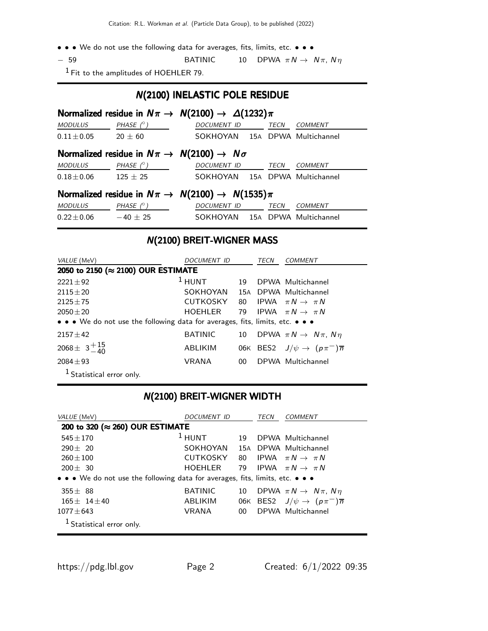- • We do not use the following data for averages, fits, limits, etc. • •
- $-$  59 BATINIC 10 DPWA  $\pi N \rightarrow N \pi$ ,  $N \eta$

1 Fit to the amplitudes of HOEHLER 79.

### N(2100) INELASTIC POLE RESIDUE

| Normalized residue in $N\pi \to N(2100) \to \Delta(1232)\pi$            |                                                                      |                    |  |             |                                |  |  |  |
|-------------------------------------------------------------------------|----------------------------------------------------------------------|--------------------|--|-------------|--------------------------------|--|--|--|
| <b>MODULUS</b>                                                          | PHASE $(^\circ)$                                                     | DOCUMENT ID        |  | TECN        | <b>COMMENT</b>                 |  |  |  |
| $0.11 \pm 0.05$ 20 $\pm$ 60                                             |                                                                      |                    |  |             | SOKHOYAN 15A DPWA Multichannel |  |  |  |
|                                                                         | Normalized residue in $N\pi \rightarrow N(2100) \rightarrow N\sigma$ |                    |  |             |                                |  |  |  |
| <i>MODULUS</i>                                                          | PHASE $(^\circ)$                                                     | <b>DOCUMENT ID</b> |  | <b>TECN</b> | <b>COMMENT</b>                 |  |  |  |
| $0.18 \pm 0.06$ 125 $\pm$ 25                                            |                                                                      |                    |  |             | SOKHOYAN 15A DPWA Multichannel |  |  |  |
| Normalized residue in $N\pi \rightarrow N(2100) \rightarrow N(1535)\pi$ |                                                                      |                    |  |             |                                |  |  |  |
| <b>MODULUS</b>                                                          | PHASE $(^\circ)$                                                     | <b>DOCUMENT ID</b> |  | TECN        | <b>COMMENT</b>                 |  |  |  |
| $0.22 \pm 0.06$                                                         | $-40 \pm 25$                                                         |                    |  |             | SOKHOYAN 15A DPWA Multichannel |  |  |  |

### N(2100) BREIT-WIGNER MASS

| VALUE (MeV)                                                                   | DOCUMENT ID<br>TECN |     |  | COMMENT                                            |  |  |  |
|-------------------------------------------------------------------------------|---------------------|-----|--|----------------------------------------------------|--|--|--|
| 2050 to 2150 (≈ 2100) OUR ESTIMATE                                            |                     |     |  |                                                    |  |  |  |
| $2221 + 92$                                                                   | $1$ HUNT            | 19  |  | DPWA Multichannel                                  |  |  |  |
| $2115 + 20$                                                                   | SOKHOYAN            | 15A |  | DPWA Multichannel                                  |  |  |  |
| $2125 + 75$                                                                   | <b>CUTKOSKY</b>     | 80  |  | IPWA $\pi N \rightarrow \pi N$                     |  |  |  |
| $2050 \pm 20$                                                                 | HOEHLER             |     |  | 79 IPWA $\pi N \rightarrow \pi N$                  |  |  |  |
| • • • We do not use the following data for averages, fits, limits, etc. • • • |                     |     |  |                                                    |  |  |  |
| $2157 \pm 42$                                                                 | <b>BATINIC</b>      | 10  |  | DPWA $\pi N \rightarrow N \pi$ , $N \eta$          |  |  |  |
| 2068 ± $3^{+15}_{-40}$                                                        | <b>ABLIKIM</b>      |     |  | 06K BES2 $J/\psi \rightarrow (p\pi^-)\overline{n}$ |  |  |  |
| $2084 \pm 93$                                                                 | VRANA               | 00. |  | DPWA Multichannel                                  |  |  |  |
| <sup>1</sup> Statistical error only.                                          |                     |     |  |                                                    |  |  |  |

### N(2100) BREIT-WIGNER WIDTH

| VALUE (MeV)                                                                   | <i>DOCUMENT ID</i> |        | <b>TECN</b> | <i>COMMENT</i>                                     |
|-------------------------------------------------------------------------------|--------------------|--------|-------------|----------------------------------------------------|
| 200 to 320 (≈ 260) OUR ESTIMATE                                               |                    |        |             |                                                    |
| $545 + 170$                                                                   | $1$ HUNT           | 19     |             | DPWA Multichannel                                  |
| $290 + 20$                                                                    | SOKHOYAN           |        |             | 15A DPWA Multichannel                              |
| $260 + 100$                                                                   | <b>CUTKOSKY</b>    |        |             | 80 IPWA $\pi N \rightarrow \pi N$                  |
| $200 + 30$                                                                    | HOEHLER            |        |             | 79 IPWA $\pi N \rightarrow \pi N$                  |
| • • • We do not use the following data for averages, fits, limits, etc. • • • |                    |        |             |                                                    |
| $355 + 88$                                                                    | <b>BATINIC</b>     | 10     |             | DPWA $\pi N \rightarrow N \pi$ , $N \eta$          |
| $165 + 14 + 40$                                                               | ABLIKIM            |        |             | 06K BES2 $J/\psi \rightarrow (p\pi^-)\overline{n}$ |
| $1077 + 643$                                                                  | VRANA              | $00\,$ |             | DPWA Multichannel                                  |
| <sup>1</sup> Statistical error only.                                          |                    |        |             |                                                    |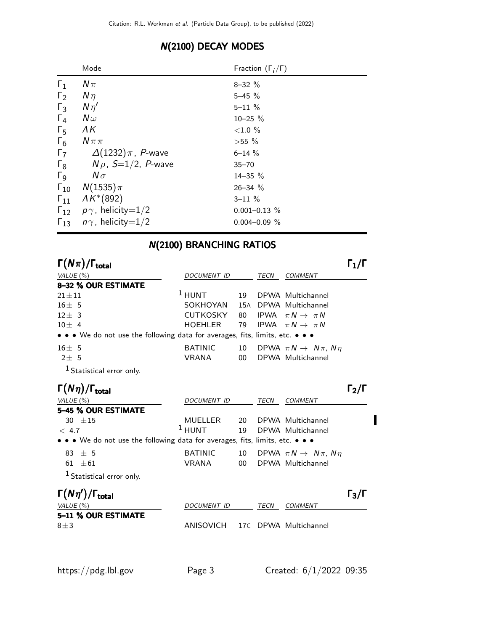|                       | Mode                                   | Fraction $(\Gamma_i/\Gamma)$ |
|-----------------------|----------------------------------------|------------------------------|
| $\Gamma_1$            | $N\pi$                                 | $8 - 32 \%$                  |
| $\Gamma_2$            | $N\eta$                                | $5 - 45 \%$                  |
| $\Gamma_3$            | $N\eta'$                               | $5 - 11 \%$                  |
| $\Gamma_4$            | $N\omega$                              | $10 - 25 \%$                 |
| $\Gamma_5$            | ΛK                                     | ${<}1.0%$                    |
| $\Gamma_6$            | $N\pi\pi$                              | $>55\%$                      |
| $\Gamma_7$            | $\Delta(1232)\pi$ , P-wave             | $6 - 14 \%$                  |
| $\Gamma_8$            | $N \rho$ , S $=$ 1/2, P-wave           | $35 - 70$                    |
| $\Gamma$ <sub>9</sub> | $N\sigma$                              | $14 - 35 \%$                 |
| $\Gamma_{10}$         | $N(1535)\pi$                           | $26 - 34$ %                  |
| $\Gamma_{11}$         | $AK*(892)$                             | $3 - 11 \%$                  |
|                       | $\Gamma_{12}$ $p\gamma$ , helicity=1/2 | $0.001 - 0.13 \%$            |
| $\Gamma_{13}$         | $n\gamma$ , helicity=1/2               | $0.004 - 0.09 \%$            |

### N(2100) DECAY MODES

# N(2100) BRANCHING RATIOS

| $\Gamma(N\pi)/\Gamma_{\rm total}$                                                                                     |                    |        |      |                                           | $\mathsf{L}_1/\mathsf{L}$ |
|-----------------------------------------------------------------------------------------------------------------------|--------------------|--------|------|-------------------------------------------|---------------------------|
| VALUE $(\%)$                                                                                                          | <b>DOCUMENT ID</b> |        | TECN | <b>COMMENT</b>                            |                           |
| 8-32 % OUR ESTIMATE                                                                                                   |                    |        |      |                                           |                           |
| $21 + 11$                                                                                                             | $1$ HUNT           | 19     |      | DPWA Multichannel                         |                           |
| $16 + 5$                                                                                                              | SOKHOYAN           | 15A    |      | DPWA Multichannel                         |                           |
| $12 \pm 3$                                                                                                            | <b>CUTKOSKY</b>    | 80     |      | IPWA $\pi N \rightarrow \pi N$            |                           |
| $10 + 4$                                                                                                              | <b>HOEHLER</b>     | 79     |      | IPWA $\pi N \rightarrow \pi N$            |                           |
| $\bullet \bullet \bullet$ We do not use the following data for averages, fits, limits, etc. $\bullet \bullet \bullet$ |                    |        |      |                                           |                           |
| $16 \pm 5$                                                                                                            | <b>BATINIC</b>     | 10     |      | DPWA $\pi N \rightarrow N \pi$ , $N \eta$ |                           |
| $2+5$                                                                                                                 | VRANA              | $00\,$ |      | DPWA Multichannel                         |                           |
| <sup>1</sup> Statistical error only.                                                                                  |                    |        |      |                                           |                           |
| $\Gamma(N\eta)/\Gamma_{\rm total}$                                                                                    |                    |        |      |                                           | 12/1                      |
| VALUE $(\%)$                                                                                                          | <b>DOCUMENT ID</b> |        | TECN | <b>COMMENT</b>                            |                           |
| 5-45 % OUR ESTIMATE                                                                                                   |                    |        |      |                                           |                           |
| 30 $\pm 15$                                                                                                           | MUELLER            | 20     |      | DPWA Multichannel                         |                           |
| < 4.7                                                                                                                 | $1$ HUNT           | 19     |      | DPWA Multichannel                         |                           |

| . |                                                                                                                       |         |                                              |
|---|-----------------------------------------------------------------------------------------------------------------------|---------|----------------------------------------------|
|   | $\bullet \bullet \bullet$ We do not use the following data for averages, fits, limits, etc. $\bullet \bullet \bullet$ |         |                                              |
|   | $83 + 5$                                                                                                              | BATINIC | 10 DPWA $\pi N \rightarrow N \pi$ , $N \eta$ |
|   | $61 \pm 61$                                                                                                           | VRANA   | 00 DPWA Multichannel                         |
|   | $\sim$ 1.4. $\sim$ $\sim$ $\sim$ $\sim$                                                                               |         |                                              |

| $1$ Statistical error only. |  |  |
|-----------------------------|--|--|
|-----------------------------|--|--|

| $\Gamma(N\eta')/\Gamma_{\rm total}$ |                                 |      |         | $\Gamma_3/\Gamma$ |
|-------------------------------------|---------------------------------|------|---------|-------------------|
| VALUE (%)                           | DOCUMENT ID                     | TECN | COMMENT |                   |
| 5-11 % OUR ESTIMATE                 |                                 |      |         |                   |
| $8 + 3$                             | ANISOVICH 17C DPWA Multichannel |      |         |                   |

 $\blacksquare$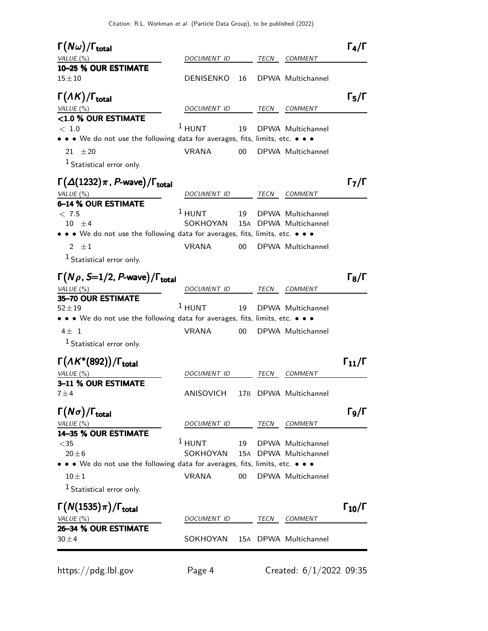| $\Gamma(N\omega)/\Gamma_{\rm total}$<br>VALUE (%)                                      | <i>DOCUMENT ID</i> |                 | TECN | <b>COMMENT</b>                             | $\Gamma_4/\Gamma$    |
|----------------------------------------------------------------------------------------|--------------------|-----------------|------|--------------------------------------------|----------------------|
| 10-25 % OUR ESTIMATE                                                                   |                    |                 |      |                                            |                      |
| $15 + 10$                                                                              | <b>DENISENKO</b>   | 16              |      | DPWA Multichannel                          |                      |
| $\Gamma(\Lambda K)/\Gamma_{\rm total}$                                                 |                    |                 |      |                                            | $\Gamma_5/\Gamma$    |
| VALUE (%)                                                                              | DOCUMENT ID        |                 | TECN | <b>COMMENT</b>                             |                      |
| <1.0 % OUR ESTIMATE                                                                    | $1$ HUNT           | 19              |      | DPWA Multichannel                          |                      |
| < 1.0<br>• • • We do not use the following data for averages, fits, limits, etc. • • • |                    |                 |      |                                            |                      |
| 21 $\pm 20$                                                                            | <b>VRANA</b>       | 00              |      | DPWA Multichannel                          |                      |
| <sup>1</sup> Statistical error only.                                                   |                    |                 |      |                                            |                      |
| $\Gamma(\Delta(1232)\pi$ , P-wave)/ $\Gamma_{\text{total}}$                            |                    |                 |      |                                            | $\Gamma_7/\Gamma$    |
| VALUE (%)                                                                              | <i>DOCUMENT ID</i> |                 | TECN | <i>COMMENT</i>                             |                      |
| 6-14 % OUR ESTIMATE                                                                    | $1$ HUNT           |                 |      |                                            |                      |
| < 7.5<br>$10 \pm 4$                                                                    | SOKHOYAN           | 19              |      | DPWA Multichannel<br>15A DPWA Multichannel |                      |
| • • We do not use the following data for averages, fits, limits, etc. • • •            |                    |                 |      |                                            |                      |
| 2 $\pm 1$                                                                              | <b>VRANA</b>       | 00              |      | DPWA Multichannel                          |                      |
| <sup>1</sup> Statistical error only.                                                   |                    |                 |      |                                            |                      |
|                                                                                        |                    |                 |      |                                            |                      |
| $\Gamma(N\rho, S=1/2, P$ -wave)/ $\Gamma_{\rm total}$                                  |                    |                 |      |                                            | $\Gamma_8/\Gamma$    |
| VALUE (%)<br>35-70 OUR ESTIMATE                                                        | DOCUMENT ID        |                 | TECN | <i>COMMENT</i>                             |                      |
| $52\pm19$                                                                              | $1$ HUNT           | 19              |      | DPWA Multichannel                          |                      |
| • • We do not use the following data for averages, fits, limits, etc. • • •            |                    |                 |      |                                            |                      |
| $4\pm 1$                                                                               | <b>VRANA</b>       | 00              |      | DPWA Multichannel                          |                      |
| <sup>1</sup> Statistical error only.                                                   |                    |                 |      |                                            |                      |
| $\Gamma(\Lambda K^*(892))/\Gamma_{\text{total}}$                                       |                    |                 |      |                                            | $\Gamma_{11}/\Gamma$ |
| <i>VALUE</i> (%)                                                                       | <i>DOCUMENT ID</i> |                 | TECN | <b>COMMENT</b>                             |                      |
| 3-11 % OUR ESTIMATE                                                                    |                    |                 |      |                                            |                      |
| $7 \pm 4$                                                                              | ANISOVICH          | 17 <sub>B</sub> |      | DPWA Multichannel                          |                      |
| $\Gamma(N\sigma)/\Gamma_{\rm total}$                                                   |                    |                 |      |                                            | $\Gamma$ 9/Г         |
| VALUE (%)                                                                              | DOCUMENT ID        |                 | TECN | COMMENT                                    |                      |
| 14-35 % OUR ESTIMATE                                                                   |                    |                 |      |                                            |                      |
|                                                                                        |                    | 19              |      | DPWA Multichannel                          |                      |
| $<$ 35                                                                                 | $1$ HUNT           |                 |      |                                            |                      |
| $20 \pm 6$                                                                             | SOKHOYAN           | 15A             |      | DPWA Multichannel                          |                      |
| • • • We do not use the following data for averages, fits, limits, etc. • • •          |                    |                 |      |                                            |                      |
| $10 \pm 1$                                                                             | <b>VRANA</b>       | 00              |      | DPWA Multichannel                          |                      |
| $1$ Statistical error only.                                                            |                    |                 |      |                                            |                      |
| $\Gamma(N(1535)\pi)/\Gamma_{\rm total}$                                                |                    |                 |      |                                            | $\Gamma_{10}/\Gamma$ |
| VALUE $(\%)$<br>26-34 % OUR ESTIMATE                                                   | DOCUMENT ID        |                 | TECN | COMMENT                                    |                      |

https://pdg.lbl.gov Page 4 Created: 6/1/2022 09:35